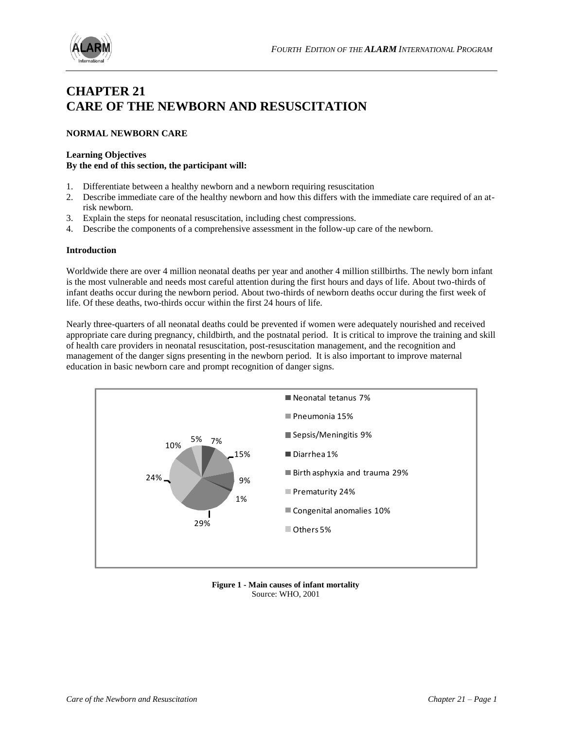

# **CHAPTER 21 CARE OF THE NEWBORN AND RESUSCITATION**

# **NORMAL NEWBORN CARE**

#### **Learning Objectives**

#### **By the end of this section, the participant will:**

- 1. Differentiate between a healthy newborn and a newborn requiring resuscitation
- 2. Describe immediate care of the healthy newborn and how this differs with the immediate care required of an atrisk newborn.
- 3. Explain the steps for neonatal resuscitation, including chest compressions.
- 4. Describe the components of a comprehensive assessment in the follow-up care of the newborn.

#### **Introduction**

Worldwide there are over 4 million neonatal deaths per year and another 4 million stillbirths. The newly born infant is the most vulnerable and needs most careful attention during the first hours and days of life. About two-thirds of infant deaths occur during the newborn period. About two-thirds of newborn deaths occur during the first week of life. Of these deaths, two-thirds occur within the first 24 hours of life.

Nearly three-quarters of all neonatal deaths could be prevented if women were adequately nourished and received appropriate care during pregnancy, childbirth, and the postnatal period. It is critical to improve the training and skill of health care providers in neonatal resuscitation, post-resuscitation management, and the recognition and management of the danger signs presenting in the newborn period. It is also important to improve maternal education in basic newborn care and prompt recognition of danger signs.



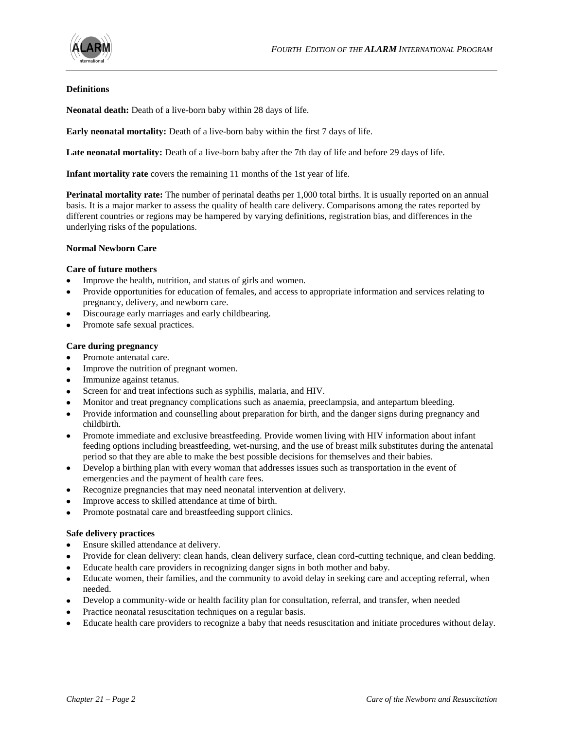

# **Definitions**

**Neonatal death:** Death of a live-born baby within 28 days of life.

**Early neonatal mortality:** Death of a live-born baby within the first 7 days of life.

**Late neonatal mortality:** Death of a live-born baby after the 7th day of life and before 29 days of life.

**Infant mortality rate** covers the remaining 11 months of the 1st year of life.

**Perinatal mortality rate:** The number of perinatal deaths per 1,000 total births. It is usually reported on an annual basis. It is a major marker to assess the quality of health care delivery. Comparisons among the rates reported by different countries or regions may be hampered by varying definitions, registration bias, and differences in the underlying risks of the populations.

#### **Normal Newborn Care**

#### **Care of future mothers**

- Improve the health, nutrition, and status of girls and women.
- Provide opportunities for education of females, and access to appropriate information and services relating to pregnancy, delivery, and newborn care.
- Discourage early marriages and early childbearing.
- Promote safe sexual practices.

#### **Care during pregnancy**

- Promote antenatal care.
- Improve the nutrition of pregnant women.
- Immunize against tetanus.
- Screen for and treat infections such as syphilis, malaria, and HIV.
- Monitor and treat pregnancy complications such as anaemia, preeclampsia, and antepartum bleeding.
- Provide information and counselling about preparation for birth, and the danger signs during pregnancy and childbirth.
- Promote immediate and exclusive breastfeeding. Provide women living with HIV information about infant feeding options including breastfeeding, wet-nursing, and the use of breast milk substitutes during the antenatal period so that they are able to make the best possible decisions for themselves and their babies.
- Develop a birthing plan with every woman that addresses issues such as transportation in the event of emergencies and the payment of health care fees.
- Recognize pregnancies that may need neonatal intervention at delivery.
- Improve access to skilled attendance at time of birth.
- Promote postnatal care and breastfeeding support clinics.  $\bullet$

#### **Safe delivery practices**

- Ensure skilled attendance at delivery.
- Provide for clean delivery: clean hands, clean delivery surface, clean cord-cutting technique, and clean bedding.
- Educate health care providers in recognizing danger signs in both mother and baby.
- Educate women, their families, and the community to avoid delay in seeking care and accepting referral, when  $\bullet$ needed.
- Develop a community-wide or health facility plan for consultation, referral, and transfer, when needed
- Practice neonatal resuscitation techniques on a regular basis.
- Educate health care providers to recognize a baby that needs resuscitation and initiate procedures without delay.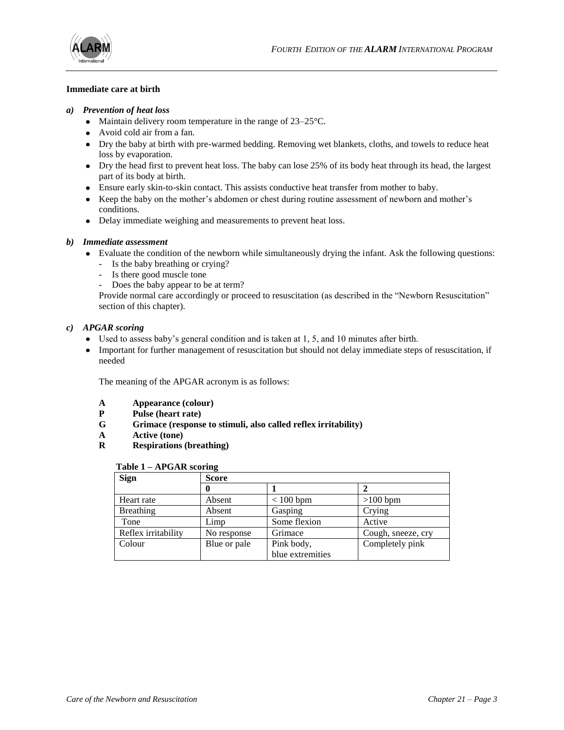



#### **Immediate care at birth**

#### *a) Prevention of heat loss*

- Maintain delivery room temperature in the range of 23–25 °C.
- Avoid cold air from a fan.
- Dry the baby at birth with pre-warmed bedding. Removing wet blankets, cloths, and towels to reduce heat loss by evaporation.
- Dry the head first to prevent heat loss. The baby can lose 25% of its body heat through its head, the largest part of its body at birth.
- Ensure early skin-to-skin contact. This assists conductive heat transfer from mother to baby.
- Keep the baby on the mother's abdomen or chest during routine assessment of newborn and mother's conditions.
- Delay immediate weighing and measurements to prevent heat loss.

# *b) Immediate assessment*

- Evaluate the condition of the newborn while simultaneously drying the infant. Ask the following questions:
	- Is the baby breathing or crying?
	- Is there good muscle tone
	- Does the baby appear to be at term?

Provide normal care accordingly or proceed to resuscitation (as described in the "Newborn Resuscitation" section of this chapter).

#### *c) APGAR scoring*

- Used to assess baby's general condition and is taken at 1, 5, and 10 minutes after birth.
- Important for further management of resuscitation but should not delay immediate steps of resuscitation, if needed

The meaning of the APGAR acronym is as follows:

- **A Appearance (colour)**
- **P Pulse (heart rate)**
- **G Grimace (response to stimuli, also called reflex irritability)**
- **A Active (tone)**
- **R Respirations (breathing)**

#### **Table 1 – APGAR scoring**

| <b>Sign</b>         | <b>Score</b> |                  |                    |
|---------------------|--------------|------------------|--------------------|
|                     | 0            |                  |                    |
| Heart rate          | Absent       | $< 100$ bpm      | $>100$ bpm         |
| Breathing           | Absent       | Gasping          | Crying             |
| Tone                | Limp         | Some flexion     | Active             |
| Reflex irritability | No response  | Grimace          | Cough, sneeze, cry |
| Colour              | Blue or pale | Pink body,       | Completely pink    |
|                     |              | blue extremities |                    |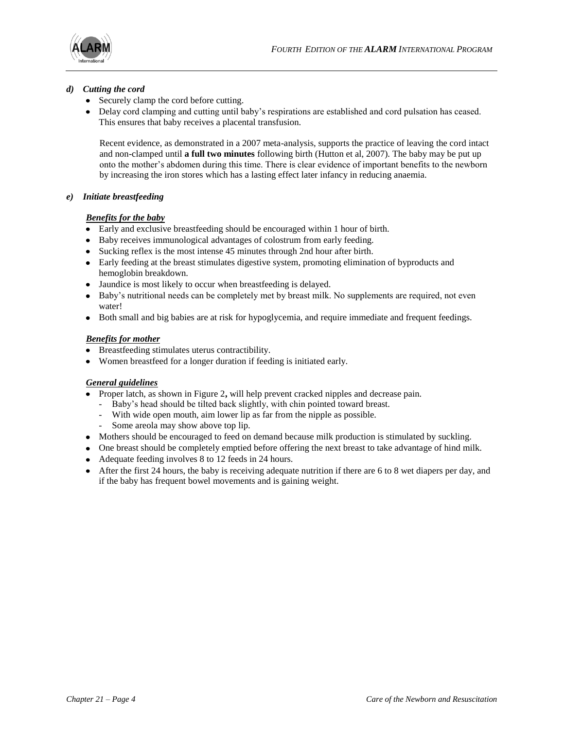

# *d) Cutting the cord*

- Securely clamp the cord before cutting.
- Delay cord clamping and cutting until baby's respirations are established and cord pulsation has ceased. This ensures that baby receives a placental transfusion.

Recent evidence, as demonstrated in a 2007 meta-analysis, supports the practice of leaving the cord intact and non-clamped until **a full two minutes** following birth (Hutton et al, 2007). The baby may be put up onto the mother's abdomen during this time. There is clear evidence of important benefits to the newborn by increasing the iron stores which has a lasting effect later infancy in reducing anaemia.

# *e) Initiate breastfeeding*

# *Benefits for the baby*

- Early and exclusive breastfeeding should be encouraged within 1 hour of birth.
- Baby receives immunological advantages of colostrum from early feeding.
- Sucking reflex is the most intense 45 minutes through 2nd hour after birth.
- Early feeding at the breast stimulates digestive system, promoting elimination of byproducts and hemoglobin breakdown.
- Jaundice is most likely to occur when breastfeeding is delayed.
- Baby's nutritional needs can be completely met by breast milk. No supplements are required, not even water!
- Both small and big babies are at risk for hypoglycemia, and require immediate and frequent feedings.

# *Benefits for mother*

- Breastfeeding stimulates uterus contractibility.
- Women breastfeed for a longer duration if feeding is initiated early.

# *General guidelines*

- Proper latch, as shown in Figure 2, will help prevent cracked nipples and decrease pain.
	- Baby's head should be tilted back slightly, with chin pointed toward breast.
	- With wide open mouth, aim lower lip as far from the nipple as possible.
		- Some areola may show above top lip.
- Mothers should be encouraged to feed on demand because milk production is stimulated by suckling.
- One breast should be completely emptied before offering the next breast to take advantage of hind milk.
- Adequate feeding involves 8 to 12 feeds in 24 hours.
- After the first 24 hours, the baby is receiving adequate nutrition if there are 6 to 8 wet diapers per day, and if the baby has frequent bowel movements and is gaining weight.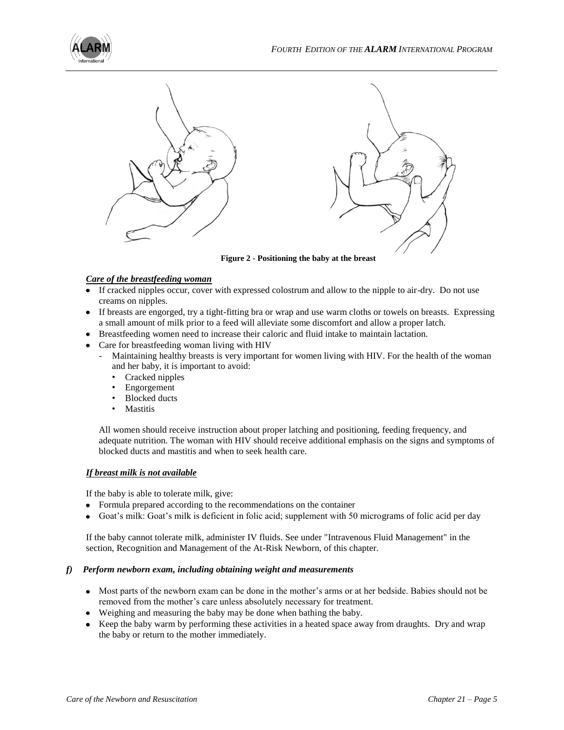



**Figure 2 - Positioning the baby at the breast**

# *Care of the breastfeeding woman*

- If cracked nipples occur, cover with expressed colostrum and allow to the nipple to air-dry. Do not use creams on nipples.
- If breasts are engorged, try a tight-fitting bra or wrap and use warm cloths or towels on breasts. Expressing a small amount of milk prior to a feed will alleviate some discomfort and allow a proper latch.
- Breastfeeding women need to increase their caloric and fluid intake to maintain lactation.
- Care for breastfeeding woman living with HIV
	- Maintaining healthy breasts is very important for women living with HIV. For the health of the woman and her baby, it is important to avoid:
		- Cracked nipples
		- Engorgement
		- Blocked ducts
		- Mastitis

All women should receive instruction about proper latching and positioning, feeding frequency, and adequate nutrition. The woman with HIV should receive additional emphasis on the signs and symptoms of blocked ducts and mastitis and when to seek health care.

#### *If breast milk is not available*

If the baby is able to tolerate milk, give:

- Formula prepared according to the recommendations on the container
- Goat's milk: Goat's milk is deficient in folic acid; supplement with 50 micrograms of folic acid per day

If the baby cannot tolerate milk, administer IV fluids. See under "Intravenous Fluid Management" in the section, Recognition and Management of the At-Risk Newborn, of this chapter.

#### *f) Perform newborn exam, including obtaining weight and measurements*

- Most parts of the newborn exam can be done in the mother's arms or at her bedside. Babies should not be removed from the mother's care unless absolutely necessary for treatment.
- Weighing and measuring the baby may be done when bathing the baby.
- Keep the baby warm by performing these activities in a heated space away from draughts. Dry and wrap the baby or return to the mother immediately.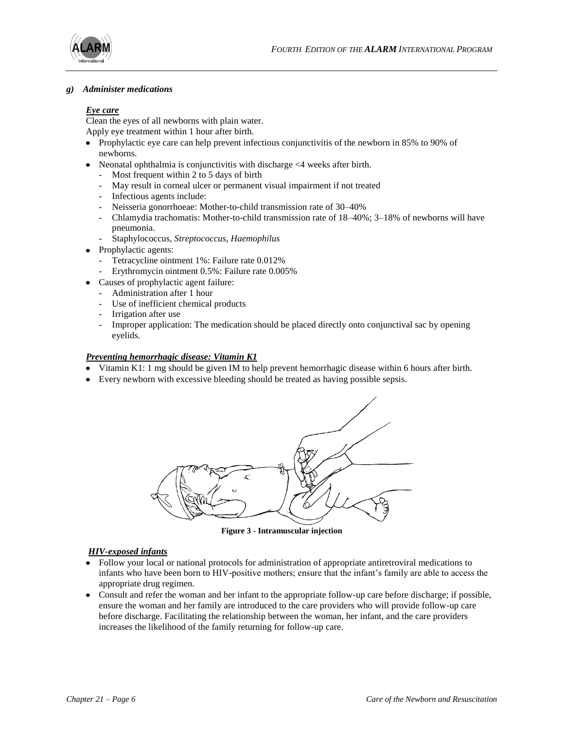

#### *g) Administer medications*

#### *Eye care*

Clean the eyes of all newborns with plain water. Apply eye treatment within 1 hour after birth.

- Prophylactic eye care can help prevent infectious conjunctivitis of the newborn in 85% to 90% of newborns.
- Neonatal ophthalmia is conjunctivitis with discharge  $\leq 4$  weeks after birth.
	- Most frequent within 2 to 5 days of birth
	- May result in corneal ulcer or permanent visual impairment if not treated
	- Infectious agents include:
	- Neisseria gonorrhoeae: Mother-to-child transmission rate of 30–40%
	- Chlamydia trachomatis: Mother-to-child transmission rate of 18–40%; 3–18% of newborns will have pneumonia.
	- Staphylococcus, *Streptococcus*, *Haemophilus*
- Prophylactic agents:
	- Tetracycline ointment 1%: Failure rate 0.012%
	- Erythromycin ointment 0.5%: Failure rate 0.005%
- Causes of prophylactic agent failure:
	- Administration after 1 hour
	- Use of inefficient chemical products
	- Irrigation after use
	- Improper application: The medication should be placed directly onto conjunctival sac by opening eyelids.

# *Preventing hemorrhagic disease: Vitamin K1*

- Vitamin K1: 1 mg should be given IM to help prevent hemorrhagic disease within 6 hours after birth.
- Every newborn with excessive bleeding should be treated as having possible sepsis.



**Figure 3 - Intramuscular injection**

# *HIV-exposed infants*

- Follow your local or national protocols for administration of appropriate antiretroviral medications to  $\bullet$ infants who have been born to HIV-positive mothers; ensure that the infant's family are able to access the appropriate drug regimen.
- Consult and refer the woman and her infant to the appropriate follow-up care before discharge; if possible, ensure the woman and her family are introduced to the care providers who will provide follow-up care before discharge. Facilitating the relationship between the woman, her infant, and the care providers increases the likelihood of the family returning for follow-up care.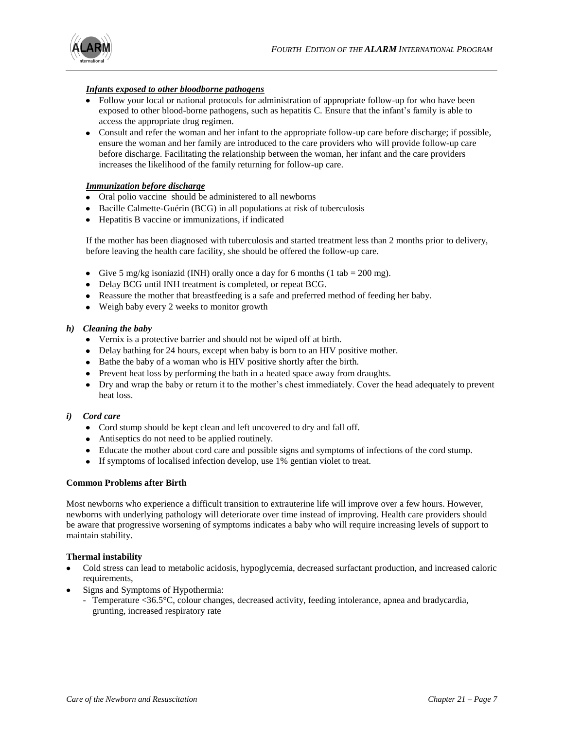

# *Infants exposed to other bloodborne pathogens*

- Follow your local or national protocols for administration of appropriate follow-up for who have been exposed to other blood-borne pathogens, such as hepatitis C. Ensure that the infant's family is able to access the appropriate drug regimen.
- Consult and refer the woman and her infant to the appropriate follow-up care before discharge; if possible, ensure the woman and her family are introduced to the care providers who will provide follow-up care before discharge. Facilitating the relationship between the woman, her infant and the care providers increases the likelihood of the family returning for follow-up care.

# *Immunization before discharge*

- Oral polio vaccine should be administered to all newborns
- Bacille Calmette-Guérin (BCG) in all populations at risk of tuberculosis
- Hepatitis B vaccine or immunizations, if indicated

If the mother has been diagnosed with tuberculosis and started treatment less than 2 months prior to delivery, before leaving the health care facility, she should be offered the follow-up care.

- Give 5 mg/kg isoniazid (INH) orally once a day for 6 months (1 tab = 200 mg).
- Delay BCG until INH treatment is completed, or repeat BCG.
- Reassure the mother that breastfeeding is a safe and preferred method of feeding her baby.
- Weigh baby every 2 weeks to monitor growth

# *h) Cleaning the baby*

- Vernix is a protective barrier and should not be wiped off at birth.
- Delay bathing for 24 hours, except when baby is born to an HIV positive mother.
- Bathe the baby of a woman who is HIV positive shortly after the birth.
- Prevent heat loss by performing the bath in a heated space away from draughts.
- Dry and wrap the baby or return it to the mother's chest immediately. Cover the head adequately to prevent heat loss.

# *i) Cord care*

- Cord stump should be kept clean and left uncovered to dry and fall off.
- Antiseptics do not need to be applied routinely.
- Educate the mother about cord care and possible signs and symptoms of infections of the cord stump.
- If symptoms of localised infection develop, use 1% gentian violet to treat.

# **Common Problems after Birth**

Most newborns who experience a difficult transition to extrauterine life will improve over a few hours. However, newborns with underlying pathology will deteriorate over time instead of improving. Health care providers should be aware that progressive worsening of symptoms indicates a baby who will require increasing levels of support to maintain stability.

# **Thermal instability**

- Cold stress can lead to metabolic acidosis, hypoglycemia, decreased surfactant production, and increased caloric requirements,
- Signs and Symptoms of Hypothermia:
	- Temperature <36.5°C, colour changes, decreased activity, feeding intolerance, apnea and bradycardia, grunting, increased respiratory rate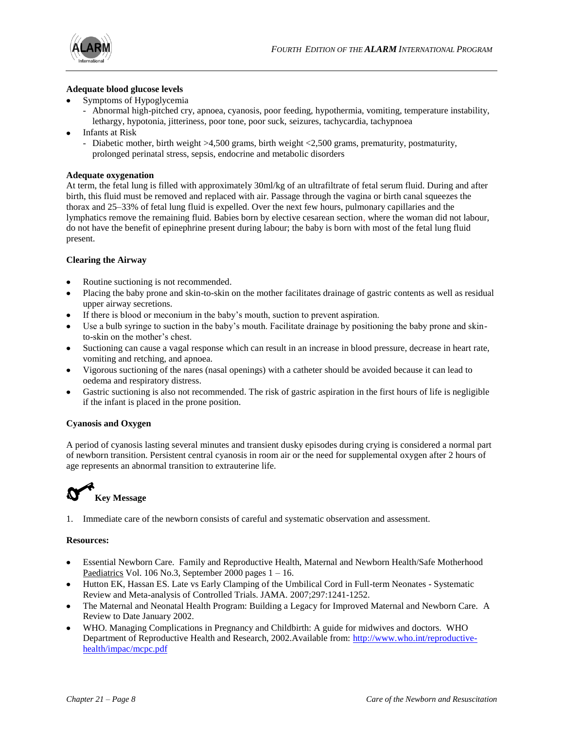

# **Adequate blood glucose levels**

- Symptoms of Hypoglycemia
	- Abnormal high-pitched cry, apnoea, cyanosis, poor feeding, hypothermia, vomiting, temperature instability, lethargy, hypotonia, jitteriness, poor tone, poor suck, seizures, tachycardia, tachypnoea
- Infants at Risk
	- Diabetic mother, birth weight >4,500 grams, birth weight <2,500 grams, prematurity, postmaturity, prolonged perinatal stress, sepsis, endocrine and metabolic disorders

#### **Adequate oxygenation**

At term, the fetal lung is filled with approximately 30ml/kg of an ultrafiltrate of fetal serum fluid. During and after birth, this fluid must be removed and replaced with air. Passage through the vagina or birth canal squeezes the thorax and 25–33% of fetal lung fluid is expelled. Over the next few hours, pulmonary capillaries and the lymphatics remove the remaining fluid. Babies born by elective cesarean section, where the woman did not labour, do not have the benefit of epinephrine present during labour; the baby is born with most of the fetal lung fluid present.

#### **Clearing the Airway**

- Routine suctioning is not recommended.
- Placing the baby prone and skin-to-skin on the mother facilitates drainage of gastric contents as well as residual upper airway secretions.
- If there is blood or meconium in the baby's mouth, suction to prevent aspiration.
- Use a bulb syringe to suction in the baby's mouth. Facilitate drainage by positioning the baby prone and skinto-skin on the mother's chest.
- Suctioning can cause a vagal response which can result in an increase in blood pressure, decrease in heart rate, vomiting and retching, and apnoea.
- Vigorous suctioning of the nares (nasal openings) with a catheter should be avoided because it can lead to oedema and respiratory distress.
- Gastric suctioning is also not recommended. The risk of gastric aspiration in the first hours of life is negligible if the infant is placed in the prone position.

# **Cyanosis and Oxygen**

A period of cyanosis lasting several minutes and transient dusky episodes during crying is considered a normal part of newborn transition. Persistent central cyanosis in room air or the need for supplemental oxygen after 2 hours of age represents an abnormal transition to extrauterine life.

# **Key Message**

1. Immediate care of the newborn consists of careful and systematic observation and assessment.

#### **Resources:**

- Essential Newborn Care. Family and Reproductive Health, Maternal and Newborn Health/Safe Motherhood Paediatrics Vol. 106 No.3, September 2000 pages  $1 - 16$ .
- Hutton EK, Hassan ES. Late vs Early Clamping of the Umbilical Cord in Full-term Neonates Systematic Review and Meta-analysis of Controlled Trials. JAMA. 2007;297:1241-1252.
- The Maternal and Neonatal Health Program: Building a Legacy for Improved Maternal and Newborn Care. A Review to Date January 2002.
- WHO. Managing Complications in Pregnancy and Childbirth: A guide for midwives and doctors. WHO Department of Reproductive Health and Research, 2002.Available from: [http://www.who.int/reproductive](http://www.who.int/reproductive-health/impac/mcpc.pdf)[health/impac/mcpc.pdf](http://www.who.int/reproductive-health/impac/mcpc.pdf)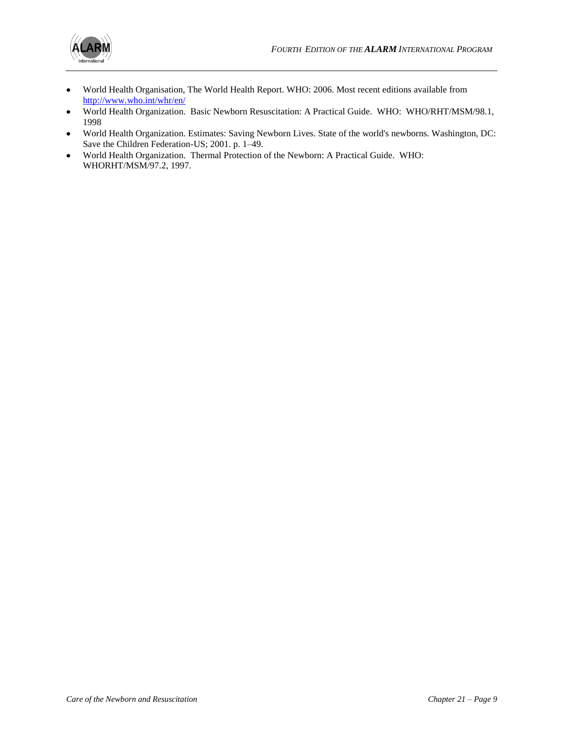

- World Health Organisation, The World Health Report. WHO: 2006. Most recent editions available from  $\bullet$ <http://www.who.int/whr/en/>
- World Health Organization. Basic Newborn Resuscitation: A Practical Guide. WHO: WHO/RHT/MSM/98.1,  $\bullet$ 1998
- World Health Organization. Estimates: Saving Newborn Lives. State of the world's newborns. Washington, DC:  $\bullet$ Save the Children Federation-US; 2001. p. 1–49.
- World Health Organization. Thermal Protection of the Newborn: A Practical Guide. WHO:  $\bullet$ WHORHT/MSM/97.2, 1997.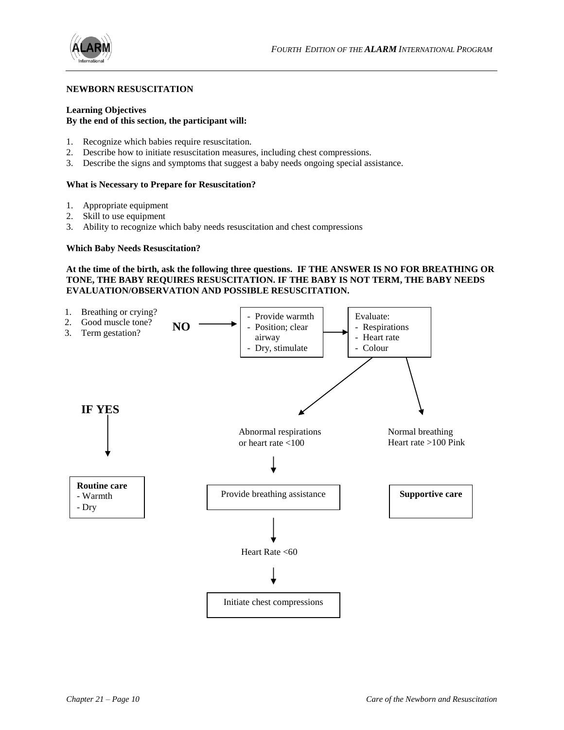

#### **NEWBORN RESUSCITATION**

# **Learning Objectives**

# **By the end of this section, the participant will:**

- 1. Recognize which babies require resuscitation.
- 2. Describe how to initiate resuscitation measures, including chest compressions.
- 3. Describe the signs and symptoms that suggest a baby needs ongoing special assistance.

#### **What is Necessary to Prepare for Resuscitation?**

- 1. Appropriate equipment
- 2. Skill to use equipment
- 3. Ability to recognize which baby needs resuscitation and chest compressions

#### **Which Baby Needs Resuscitation?**

#### **At the time of the birth, ask the following three questions. IF THE ANSWER IS NO FOR BREATHING OR TONE, THE BABY REQUIRES RESUSCITATION. IF THE BABY IS NOT TERM, THE BABY NEEDS EVALUATION/OBSERVATION AND POSSIBLE RESUSCITATION.**

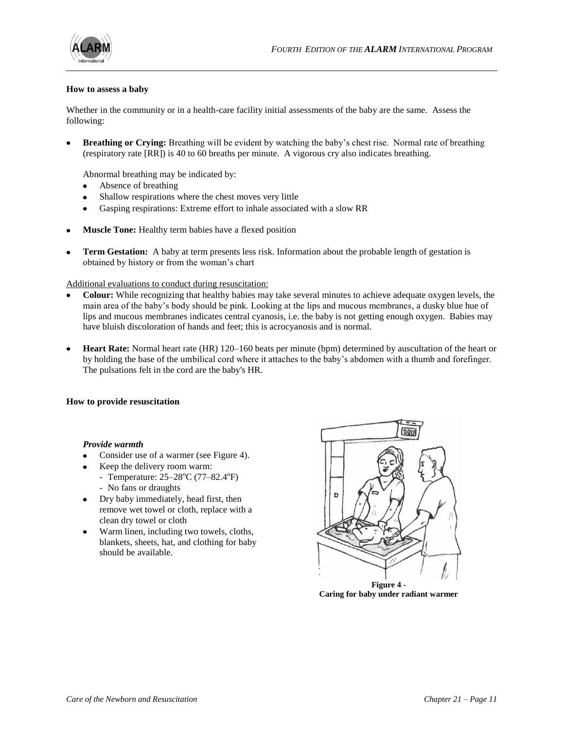![](_page_10_Picture_0.jpeg)

![](_page_10_Picture_1.jpeg)

#### **How to assess a baby**

Whether in the community or in a health-care facility initial assessments of the baby are the same. Assess the following:

**Breathing or Crying:** Breathing will be evident by watching the baby's chest rise. Normal rate of breathing (respiratory rate [RR]) is 40 to 60 breaths per minute. A vigorous cry also indicates breathing.

Abnormal breathing may be indicated by:

- Absence of breathing  $\bullet$
- Shallow respirations where the chest moves very little
- Gasping respirations: Extreme effort to inhale associated with a slow RR  $\bullet$
- **Muscle Tone:** Healthy term babies have a flexed position
- **Term Gestation:** A baby at term presents less risk. Information about the probable length of gestation is obtained by history or from the woman's chart

Additional evaluations to conduct during resuscitation:

- **Colour:** While recognizing that healthy babies may take several minutes to achieve adequate oxygen levels, the main area of the baby's body should be pink. Looking at the lips and mucous membranes, a dusky blue hue of lips and mucous membranes indicates central cyanosis, i.e. the baby is not getting enough oxygen. Babies may have bluish discoloration of hands and feet; this is acrocyanosis and is normal.
- **Heart Rate:** Normal heart rate (HR) 120–160 beats per minute (bpm) determined by auscultation of the heart or by holding the base of the umbilical cord where it attaches to the baby's abdomen with a thumb and forefinger. The pulsations felt in the cord are the baby's HR.

#### **How to provide resuscitation**

#### *Provide warmth*

- Consider use of a warmer (see Figure 4).
- Keep the delivery room warm:
- Temperature:  $25-28^{\circ}$ C (77-82.4 $^{\circ}$ F) - No fans or draughts
- Dry baby immediately, head first, then remove wet towel or cloth, replace with a clean dry towel or cloth
- Warm linen, including two towels, cloths, blankets, sheets, hat, and clothing for baby should be available.

![](_page_10_Picture_21.jpeg)

**Caring for baby under radiant warmer**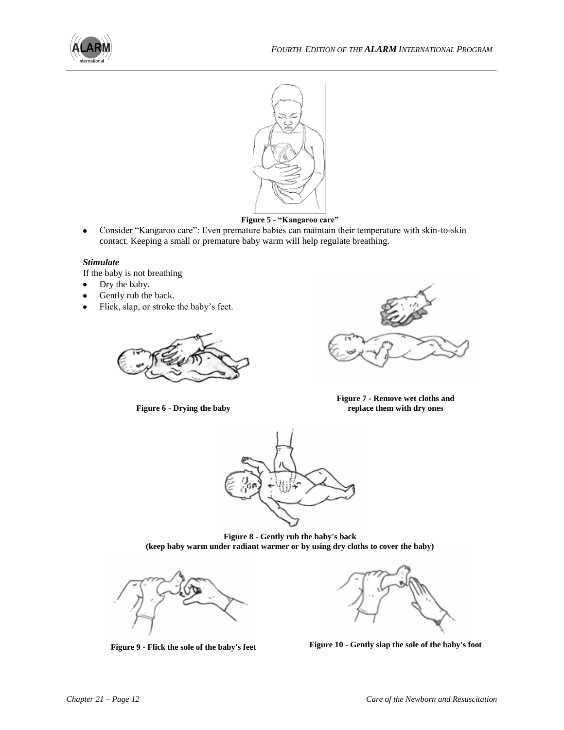![](_page_11_Picture_0.jpeg)

![](_page_11_Picture_2.jpeg)

**Figure 5 - "Kangaroo care"**

Consider "Kangaroo care": Even premature babies can maintain their temperature with skin-to-skin  $\bullet$ contact. Keeping a small or premature baby warm will help regulate breathing.

#### *Stimulate*

If the baby is not breathing

- Dry the baby.  $\bullet$
- Gently rub the back.
- Flick, slap, or stroke the baby's feet.  $\bullet$

![](_page_11_Picture_10.jpeg)

**Figure 6 - Drying the baby**

![](_page_11_Picture_12.jpeg)

**Figure 7 - Remove wet cloths and replace them with dry ones**

![](_page_11_Picture_14.jpeg)

**Figure 8 - Gently rub the baby's back (keep baby warm under radiant warmer or by using dry cloths to cover the baby)**

![](_page_11_Picture_16.jpeg)

![](_page_11_Picture_18.jpeg)

**Figure 9 - Flick the sole of the baby's feet Figure 10 - Gently slap the sole of the baby's foot**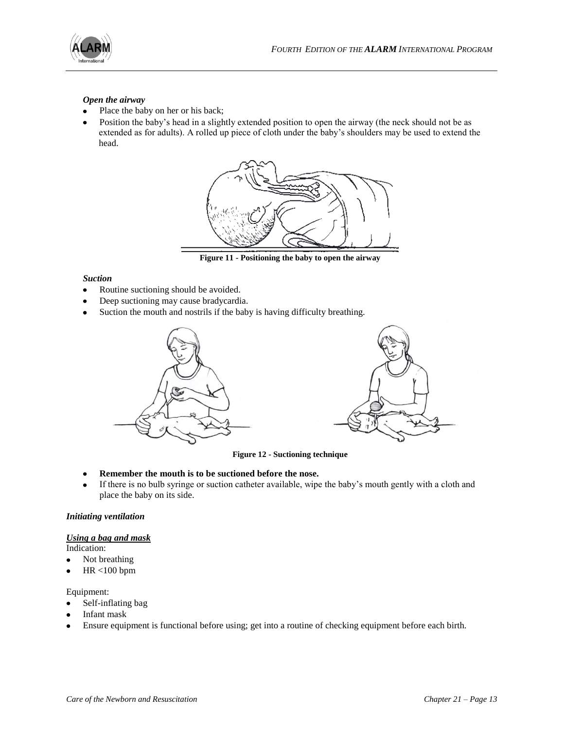![](_page_12_Picture_0.jpeg)

# *Open the airway*

- Place the baby on her or his back;
- Position the baby's head in a slightly extended position to open the airway (the neck should not be as  $\bullet$ extended as for adults). A rolled up piece of cloth under the baby's shoulders may be used to extend the head.

![](_page_12_Figure_5.jpeg)

**Figure 11 - Positioning the baby to open the airway**

#### *Suction*

- Routine suctioning should be avoided.  $\bullet$
- Deep suctioning may cause bradycardia.
- Suction the mouth and nostrils if the baby is having difficulty breathing.  $\bullet$

![](_page_12_Figure_11.jpeg)

![](_page_12_Figure_12.jpeg)

**Figure 12 - Suctioning technique**

- **Remember the mouth is to be suctioned before the nose.**   $\bullet$
- If there is no bulb syringe or suction catheter available, wipe the baby's mouth gently with a cloth and place the baby on its side.

#### *Initiating ventilation*

# *Using a bag and mask*

Indication:

- $\bullet$ Not breathing
- HR <100 bpm  $\bullet$

# Equipment:

- Self-inflating bag
- Infant mask
- Ensure equipment is functional before using; get into a routine of checking equipment before each birth. $\bullet$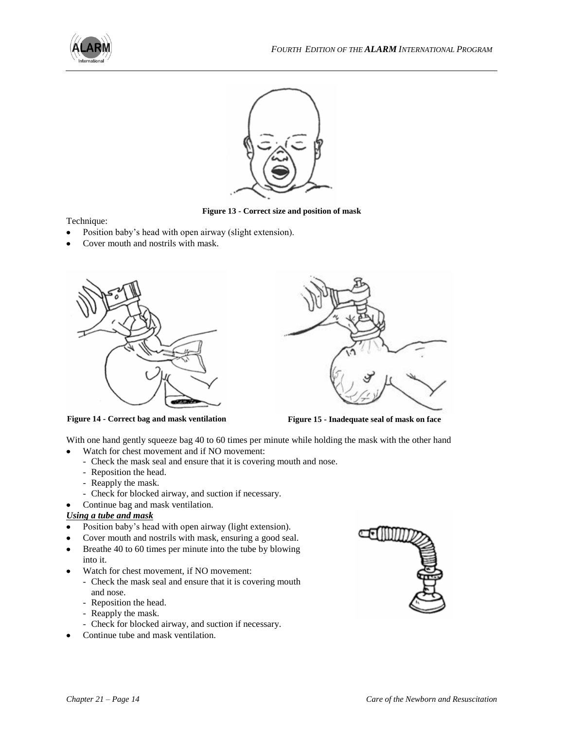![](_page_13_Picture_0.jpeg)

![](_page_13_Picture_2.jpeg)

**Figure 13 - Correct size and position of mask**

Technique:

- Position baby's head with open airway (slight extension).
- Cover mouth and nostrils with mask.

![](_page_13_Picture_7.jpeg)

![](_page_13_Picture_8.jpeg)

**Figure 14 - Correct bag and mask ventilation Figure 15 - Inadequate seal of mask on face**

With one hand gently squeeze bag 40 to 60 times per minute while holding the mask with the other hand

- Watch for chest movement and if NO movement:
- Check the mask seal and ensure that it is covering mouth and nose.
- Reposition the head.
- Reapply the mask.
- Check for blocked airway, and suction if necessary.
- Continue bag and mask ventilation.

# *Using a tube and mask*

 $\bullet$ 

- Position baby's head with open airway (light extension).
- Cover mouth and nostrils with mask, ensuring a good seal.
- Breathe 40 to 60 times per minute into the tube by blowing  $\bullet$ into it.
- Watch for chest movement, if NO movement:
	- Check the mask seal and ensure that it is covering mouth and nose.
	- Reposition the head.
	- Reapply the mask.
	- Check for blocked airway, and suction if necessary.
- Continue tube and mask ventilation.

![](_page_13_Picture_28.jpeg)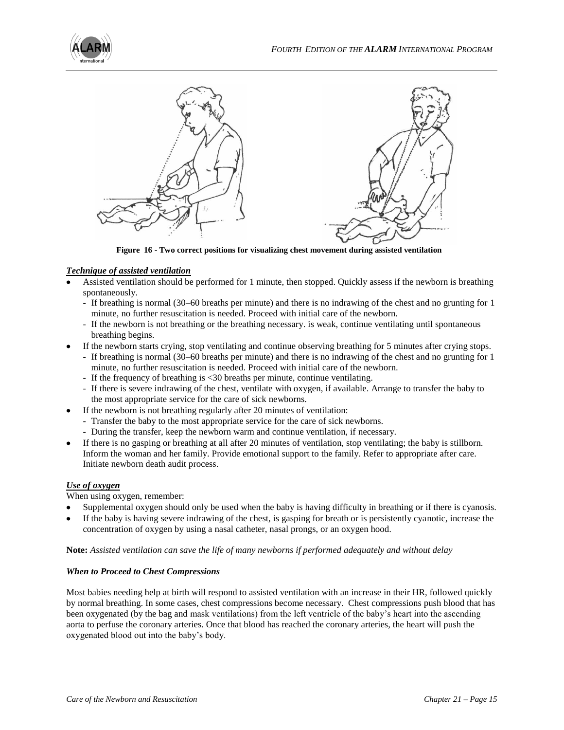![](_page_14_Picture_0.jpeg)

![](_page_14_Figure_2.jpeg)

**Figure 16 - Two correct positions for visualizing chest movement during assisted ventilation**

# *Technique of assisted ventilation*

- Assisted ventilation should be performed for 1 minute, then stopped. Quickly assess if the newborn is breathing spontaneously.
	- If breathing is normal (30–60 breaths per minute) and there is no indrawing of the chest and no grunting for 1 minute, no further resuscitation is needed. Proceed with initial care of the newborn.
	- If the newborn is not breathing or the breathing necessary. is weak, continue ventilating until spontaneous breathing begins.
	- If the newborn starts crying, stop ventilating and continue observing breathing for 5 minutes after crying stops.
		- If breathing is normal (30–60 breaths per minute) and there is no indrawing of the chest and no grunting for 1 minute, no further resuscitation is needed. Proceed with initial care of the newborn.
		- If the frequency of breathing is <30 breaths per minute, continue ventilating.
		- If there is severe indrawing of the chest, ventilate with oxygen, if available. Arrange to transfer the baby to the most appropriate service for the care of sick newborns.
- If the newborn is not breathing regularly after 20 minutes of ventilation:
	- Transfer the baby to the most appropriate service for the care of sick newborns.
	- During the transfer, keep the newborn warm and continue ventilation, if necessary.
- If there is no gasping or breathing at all after 20 minutes of ventilation, stop ventilating; the baby is stillborn. Inform the woman and her family. Provide emotional support to the family. Refer to appropriate after care. Initiate newborn death audit process.

# *Use of oxygen*

When using oxygen, remember:

- Supplemental oxygen should only be used when the baby is having difficulty in breathing or if there is cyanosis.
- If the baby is having severe indrawing of the chest, is gasping for breath or is persistently cyanotic, increase the concentration of oxygen by using a nasal catheter, nasal prongs, or an oxygen hood.

**Note:** *Assisted ventilation can save the life of many newborns if performed adequately and without delay*

# *When to Proceed to Chest Compressions*

Most babies needing help at birth will respond to assisted ventilation with an increase in their HR, followed quickly by normal breathing. In some cases, chest compressions become necessary. Chest compressions push blood that has been oxygenated (by the bag and mask ventilations) from the left ventricle of the baby's heart into the ascending aorta to perfuse the coronary arteries. Once that blood has reached the coronary arteries, the heart will push the oxygenated blood out into the baby's body.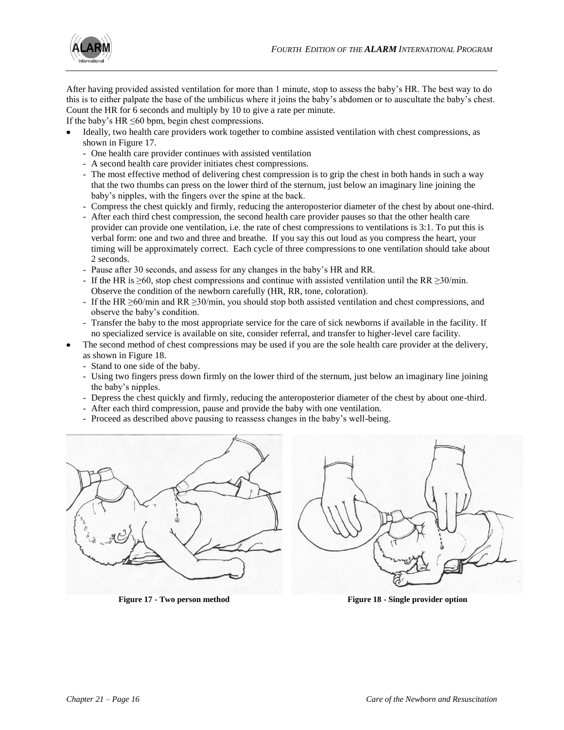![](_page_15_Picture_1.jpeg)

After having provided assisted ventilation for more than 1 minute, stop to assess the baby's HR. The best way to do this is to either palpate the base of the umbilicus where it joins the baby's abdomen or to auscultate the baby's chest. Count the HR for 6 seconds and multiply by 10 to give a rate per minute.

If the baby's HR  $\leq 60$  bpm, begin chest compressions.

- Ideally, two health care providers work together to combine assisted ventilation with chest compressions, as shown in Figure 17.
	- One health care provider continues with assisted ventilation
	- A second health care provider initiates chest compressions.
	- The most effective method of delivering chest compression is to grip the chest in both hands in such a way that the two thumbs can press on the lower third of the sternum, just below an imaginary line joining the baby's nipples, with the fingers over the spine at the back.
	- Compress the chest quickly and firmly, reducing the anteroposterior diameter of the chest by about one-third.
	- After each third chest compression, the second health care provider pauses so that the other health care provider can provide one ventilation, i.e. the rate of chest compressions to ventilations is 3:1. To put this is verbal form: one and two and three and breathe. If you say this out loud as you compress the heart, your timing will be approximately correct. Each cycle of three compressions to one ventilation should take about 2 seconds.
	- Pause after 30 seconds, and assess for any changes in the baby's HR and RR.
	- If the HR is  $\geq 60$ , stop chest compressions and continue with assisted ventilation until the RR  $\geq 30$ /min. Observe the condition of the newborn carefully (HR, RR, tone, coloration).
	- If the HR  $\geq$ 60/min and RR  $\geq$ 30/min, you should stop both assisted ventilation and chest compressions, and observe the baby's condition.
	- Transfer the baby to the most appropriate service for the care of sick newborns if available in the facility. If no specialized service is available on site, consider referral, and transfer to higher-level care facility.
- The second method of chest compressions may be used if you are the sole health care provider at the delivery, as shown in Figure 18.
	- Stand to one side of the baby.
	- Using two fingers press down firmly on the lower third of the sternum, just below an imaginary line joining the baby's nipples.
	- Depress the chest quickly and firmly, reducing the anteroposterior diameter of the chest by about one-third.
	- After each third compression, pause and provide the baby with one ventilation.
	- Proceed as described above pausing to reassess changes in the baby's well-being.

![](_page_15_Figure_20.jpeg)

![](_page_15_Picture_21.jpeg)

**Figure 17 - Two person method Figure 18 - Single provider option**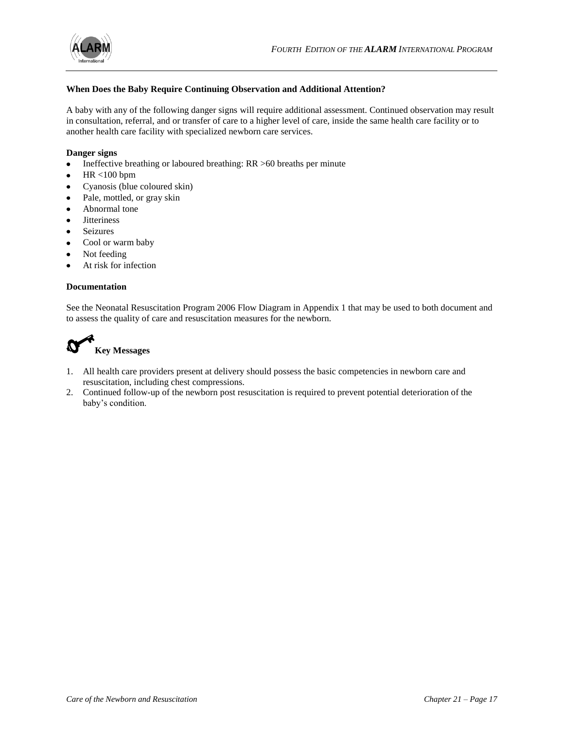![](_page_16_Picture_0.jpeg)

# **When Does the Baby Require Continuing Observation and Additional Attention?**

A baby with any of the following danger signs will require additional assessment. Continued observation may result in consultation, referral, and or transfer of care to a higher level of care, inside the same health care facility or to another health care facility with specialized newborn care services.

#### **Danger signs**

- Ineffective breathing or laboured breathing: RR >60 breaths per minute  $\bullet$
- HR <100 bpm
- Cyanosis (blue coloured skin)  $\bullet$
- $\bullet$ Pale, mottled, or gray skin
- Abnormal tone
- **Jitteriness**  $\bullet$
- $\bullet$ Seizures
- Cool or warm baby  $\bullet$
- Not feeding  $\bullet$
- At risk for infection  $\bullet$

#### **Documentation**

See the Neonatal Resuscitation Program 2006 Flow Diagram in Appendix 1 that may be used to both document and to assess the quality of care and resuscitation measures for the newborn.

![](_page_16_Picture_17.jpeg)

# **Key Messages**

- 1. All health care providers present at delivery should possess the basic competencies in newborn care and resuscitation, including chest compressions.
- 2. Continued follow-up of the newborn post resuscitation is required to prevent potential deterioration of the baby's condition.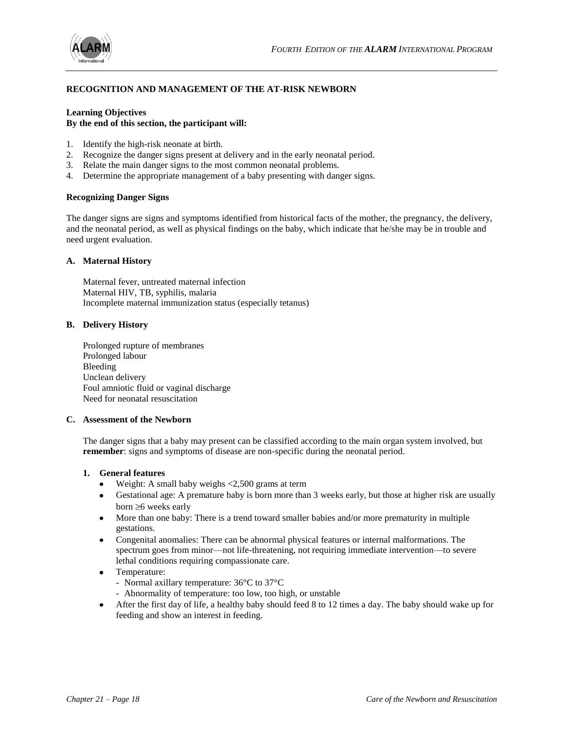![](_page_17_Picture_1.jpeg)

# **RECOGNITION AND MANAGEMENT OF THE AT-RISK NEWBORN**

# **Learning Objectives By the end of this section, the participant will:**

- 1. Identify the high-risk neonate at birth.
- 2. Recognize the danger signs present at delivery and in the early neonatal period.
- 3. Relate the main danger signs to the most common neonatal problems.
- 4. Determine the appropriate management of a baby presenting with danger signs.

#### **Recognizing Danger Signs**

The danger signs are signs and symptoms identified from historical facts of the mother, the pregnancy, the delivery, and the neonatal period, as well as physical findings on the baby, which indicate that he/she may be in trouble and need urgent evaluation.

#### **A. Maternal History**

Maternal fever, untreated maternal infection Maternal HIV, TB, syphilis, malaria Incomplete maternal immunization status (especially tetanus)

#### **B. Delivery History**

Prolonged rupture of membranes Prolonged labour Bleeding Unclean delivery Foul amniotic fluid or vaginal discharge Need for neonatal resuscitation

#### **C. Assessment of the Newborn**

The danger signs that a baby may present can be classified according to the main organ system involved, but **remember**: signs and symptoms of disease are non-specific during the neonatal period.

#### **1. General features**

- $\bullet$  Weight: A small baby weighs  $\lt$ 2,500 grams at term
- Gestational age: A premature baby is born more than 3 weeks early, but those at higher risk are usually born  $\geq 6$  weeks early
- More than one baby: There is a trend toward smaller babies and/or more prematurity in multiple gestations.
- $\bullet$ Congenital anomalies: There can be abnormal physical features or internal malformations. The spectrum goes from minor—not life-threatening, not requiring immediate intervention—to severe lethal conditions requiring compassionate care.
- Temperature:
	- Normal axillary temperature: 36°C to 37°C
	- Abnormality of temperature: too low, too high, or unstable
- After the first day of life, a healthy baby should feed 8 to 12 times a day. The baby should wake up for feeding and show an interest in feeding.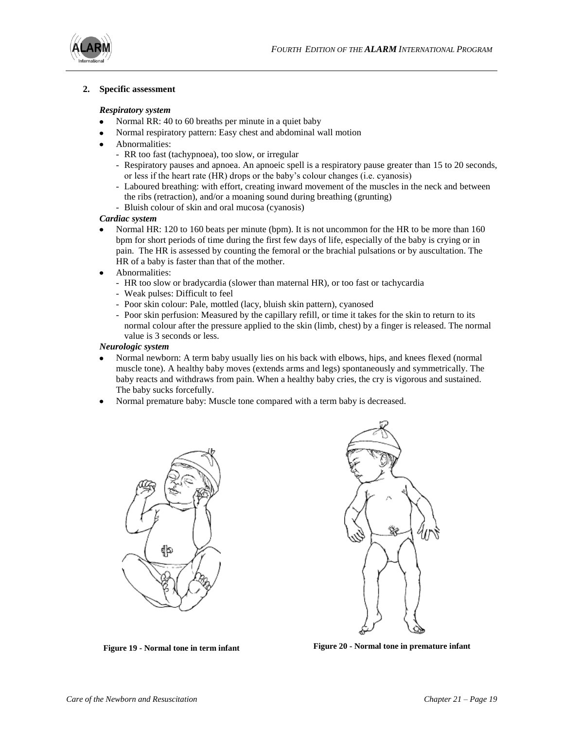![](_page_18_Picture_1.jpeg)

#### **2. Specific assessment**

#### *Respiratory system*

- Normal RR: 40 to 60 breaths per minute in a quiet baby
- Normal respiratory pattern: Easy chest and abdominal wall motion
- Abnormalities:
	- RR too fast (tachypnoea), too slow, or irregular
	- Respiratory pauses and apnoea. An apnoeic spell is a respiratory pause greater than 15 to 20 seconds, or less if the heart rate (HR) drops or the baby's colour changes (i.e. cyanosis)
	- Laboured breathing: with effort, creating inward movement of the muscles in the neck and between the ribs (retraction), and/or a moaning sound during breathing (grunting)
	- Bluish colour of skin and oral mucosa (cyanosis)

#### *Cardiac system*

- Normal HR: 120 to 160 beats per minute (bpm). It is not uncommon for the HR to be more than 160  $\bullet$ bpm for short periods of time during the first few days of life, especially of the baby is crying or in pain. The HR is assessed by counting the femoral or the brachial pulsations or by auscultation. The HR of a baby is faster than that of the mother.
- Abnormalities:
	- HR too slow or bradycardia (slower than maternal HR), or too fast or tachycardia
	- Weak pulses: Difficult to feel
	- Poor skin colour: Pale, mottled (lacy, bluish skin pattern), cyanosed
	- Poor skin perfusion: Measured by the capillary refill, or time it takes for the skin to return to its normal colour after the pressure applied to the skin (limb, chest) by a finger is released. The normal value is 3 seconds or less.

#### *Neurologic system*

- Normal newborn: A term baby usually lies on his back with elbows, hips, and knees flexed (normal muscle tone). A healthy baby moves (extends arms and legs) spontaneously and symmetrically. The baby reacts and withdraws from pain. When a healthy baby cries, the cry is vigorous and sustained. The baby sucks forcefully.
- Normal premature baby: Muscle tone compared with a term baby is decreased.

![](_page_18_Picture_21.jpeg)

![](_page_18_Picture_23.jpeg)

**Figure 19 - Normal tone in term infant Figure 20 - Normal tone in premature infant**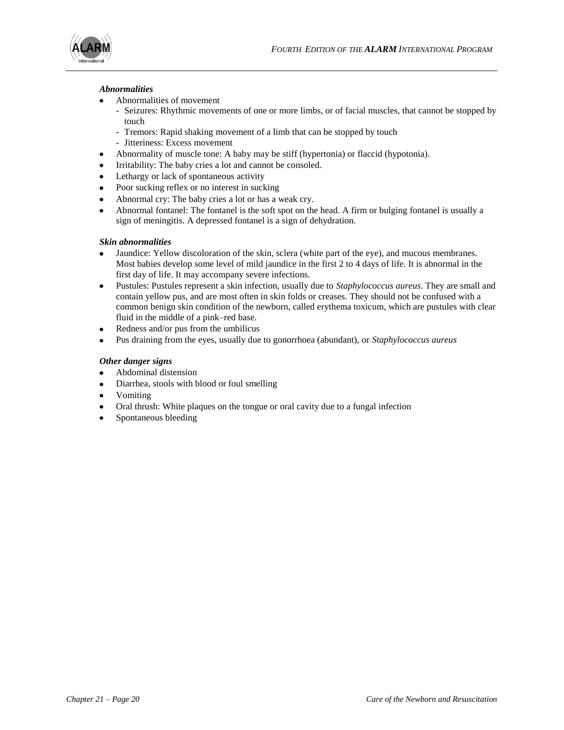![](_page_19_Picture_1.jpeg)

# *Abnormalities*

- Abnormalities of movement
	- Seizures: Rhythmic movements of one or more limbs, or of facial muscles, that cannot be stopped by touch
	- Tremors: Rapid shaking movement of a limb that can be stopped by touch
	- Jitteriness: Excess movement
- Abnormality of muscle tone: A baby may be stiff (hypertonia) or flaccid (hypotonia).
- Irritability: The baby cries a lot and cannot be consoled.
- $\bullet$ Lethargy or lack of spontaneous activity
- Poor sucking reflex or no interest in sucking
- Abnormal cry: The baby cries a lot or has a weak cry.
- Abnormal fontanel: The fontanel is the soft spot on the head. A firm or bulging fontanel is usually a  $\bullet$ sign of meningitis. A depressed fontanel is a sign of dehydration.

# *Skin abnormalities*

- Jaundice: Yellow discoloration of the skin, sclera (white part of the eye), and mucous membranes. Most babies develop some level of mild jaundice in the first 2 to 4 days of life. It is abnormal in the first day of life. It may accompany severe infections.
- $\bullet$ Pustules: Pustules represent a skin infection, usually due to *Staphylococcus aureus*. They are small and contain yellow pus, and are most often in skin folds or creases. They should not be confused with a common benign skin condition of the newborn, called erythema toxicum, which are pustules with clear fluid in the middle of a pink–red base.
- Redness and/or pus from the umbilicus  $\bullet$
- Pus draining from the eyes, usually due to gonorrhoea (abundant), or *Staphylococcus aureus*

# *Other danger signs*

- Abdominal distension
- Diarrhea, stools with blood or foul smelling
- Vomiting  $\bullet$
- Oral thrush: White plaques on the tongue or oral cavity due to a fungal infection  $\bullet$
- Spontaneous bleeding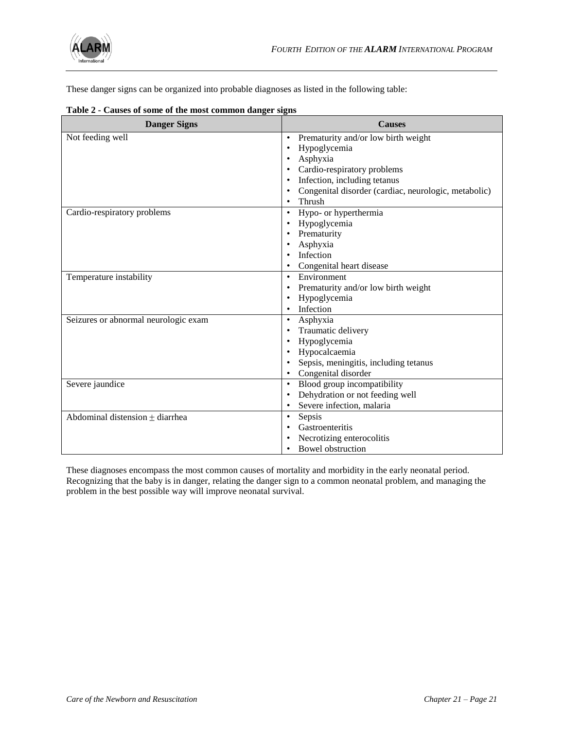![](_page_20_Picture_0.jpeg)

These danger signs can be organized into probable diagnoses as listed in the following table:

| <b>Danger Signs</b>                  | <b>Causes</b>                                        |  |
|--------------------------------------|------------------------------------------------------|--|
| Not feeding well                     | Prematurity and/or low birth weight<br>$\bullet$     |  |
|                                      | Hypoglycemia<br>$\bullet$                            |  |
|                                      | Asphyxia                                             |  |
|                                      | Cardio-respiratory problems                          |  |
|                                      | Infection, including tetanus<br>٠                    |  |
|                                      | Congenital disorder (cardiac, neurologic, metabolic) |  |
|                                      | Thrush<br>$\bullet$                                  |  |
| Cardio-respiratory problems          | Hypo- or hyperthermia<br>$\bullet$                   |  |
|                                      | Hypoglycemia                                         |  |
|                                      | Prematurity                                          |  |
|                                      | Asphyxia<br>٠                                        |  |
|                                      | Infection                                            |  |
|                                      | Congenital heart disease                             |  |
| Temperature instability              | Environment<br>$\bullet$                             |  |
|                                      | Prematurity and/or low birth weight<br>$\bullet$     |  |
|                                      | Hypoglycemia                                         |  |
|                                      | Infection<br>$\bullet$                               |  |
| Seizures or abnormal neurologic exam | Asphyxia<br>$\bullet$                                |  |
|                                      | Traumatic delivery                                   |  |
|                                      | Hypoglycemia                                         |  |
|                                      | Hypocalcaemia<br>٠                                   |  |
|                                      | Sepsis, meningitis, including tetanus                |  |
|                                      | Congenital disorder<br>٠                             |  |
| Severe jaundice                      | Blood group incompatibility<br>$\bullet$             |  |
|                                      | Dehydration or not feeding well                      |  |
|                                      | Severe infection, malaria                            |  |
| Abdominal distension $\pm$ diarrhea  | Sepsis<br>$\bullet$                                  |  |
|                                      | Gastroenteritis                                      |  |
|                                      | Necrotizing enterocolitis                            |  |
|                                      | <b>Bowel obstruction</b>                             |  |

#### **Table 2 - Causes of some of the most common danger signs**

These diagnoses encompass the most common causes of mortality and morbidity in the early neonatal period. Recognizing that the baby is in danger, relating the danger sign to a common neonatal problem, and managing the problem in the best possible way will improve neonatal survival.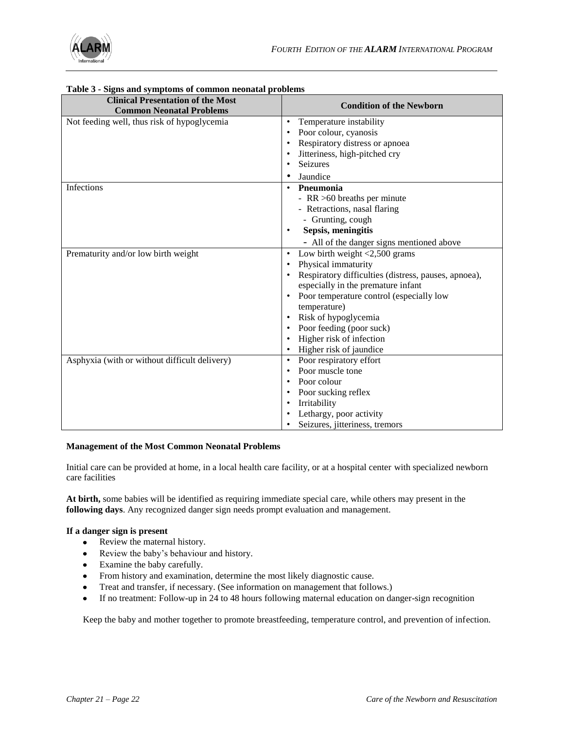![](_page_21_Picture_0.jpeg)

| <b>Clinical Presentation of the Most</b><br><b>Common Neonatal Problems</b> | <b>Condition of the Newborn</b>                      |
|-----------------------------------------------------------------------------|------------------------------------------------------|
| Not feeding well, thus risk of hypoglycemia                                 | Temperature instability<br>$\bullet$                 |
|                                                                             | Poor colour, cyanosis<br>$\bullet$                   |
|                                                                             | Respiratory distress or apnoea<br>$\bullet$          |
|                                                                             | Jitteriness, high-pitched cry                        |
|                                                                             | <b>Seizures</b><br>$\bullet$                         |
|                                                                             | Jaundice<br>٠                                        |
| Infections                                                                  | Pneumonia<br>$\bullet$                               |
|                                                                             | - RR >60 breaths per minute                          |
|                                                                             | - Retractions, nasal flaring                         |
|                                                                             | - Grunting, cough                                    |
|                                                                             | Sepsis, meningitis<br>$\bullet$                      |
|                                                                             | - All of the danger signs mentioned above            |
| Prematurity and/or low birth weight                                         | Low birth weight $<$ 2,500 grams<br>$\bullet$        |
|                                                                             | Physical immaturity<br>$\bullet$                     |
|                                                                             | Respiratory difficulties (distress, pauses, apnoea), |
|                                                                             | especially in the premature infant                   |
|                                                                             | Poor temperature control (especially low             |
|                                                                             | temperature)                                         |
|                                                                             | Risk of hypoglycemia                                 |
|                                                                             | Poor feeding (poor suck)<br>$\bullet$                |
|                                                                             | Higher risk of infection<br>$\bullet$                |
|                                                                             | Higher risk of jaundice<br>$\bullet$                 |
| Asphyxia (with or without difficult delivery)                               | Poor respiratory effort<br>$\bullet$                 |
|                                                                             | Poor muscle tone<br>$\bullet$                        |
|                                                                             | Poor colour<br>$\bullet$                             |
|                                                                             | Poor sucking reflex<br>$\bullet$                     |
|                                                                             | Irritability<br>$\bullet$                            |
|                                                                             | Lethargy, poor activity                              |
|                                                                             | Seizures, jitteriness, tremors                       |

# **Table 3 - Signs and symptoms of common neonatal problems**

#### **Management of the Most Common Neonatal Problems**

Initial care can be provided at home, in a local health care facility, or at a hospital center with specialized newborn care facilities

**At birth,** some babies will be identified as requiring immediate special care, while others may present in the **following days**. Any recognized danger sign needs prompt evaluation and management.

#### **If a danger sign is present**

- Review the maternal history.
- Review the baby's behaviour and history.
- Examine the baby carefully.
- From history and examination, determine the most likely diagnostic cause.
- Treat and transfer, if necessary. (See information on management that follows.)  $\bullet$
- $\bullet$ If no treatment: Follow-up in 24 to 48 hours following maternal education on danger-sign recognition

Keep the baby and mother together to promote breastfeeding, temperature control, and prevention of infection.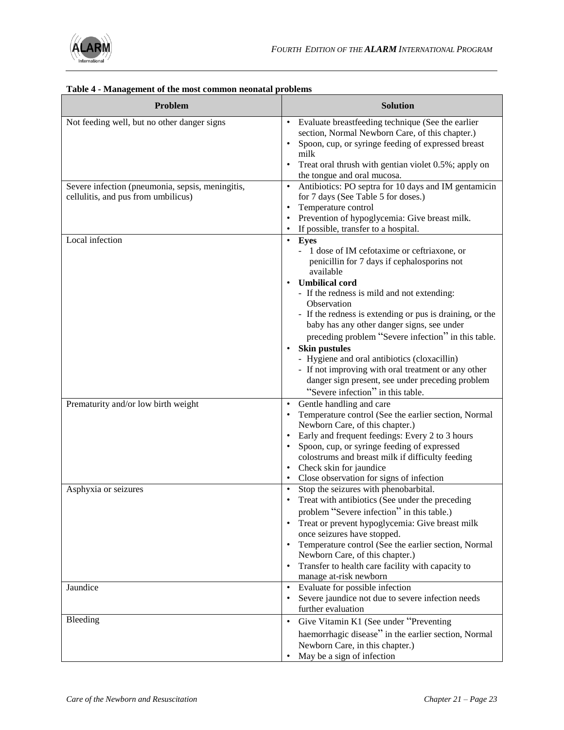![](_page_22_Picture_0.jpeg)

| Table 4 - Management of the most common neonatal problems                               |                                                                                                                                                                                                                                                                                                                                                                                                                                                                                                                                                                                                               |  |  |
|-----------------------------------------------------------------------------------------|---------------------------------------------------------------------------------------------------------------------------------------------------------------------------------------------------------------------------------------------------------------------------------------------------------------------------------------------------------------------------------------------------------------------------------------------------------------------------------------------------------------------------------------------------------------------------------------------------------------|--|--|
| Problem                                                                                 | <b>Solution</b>                                                                                                                                                                                                                                                                                                                                                                                                                                                                                                                                                                                               |  |  |
| Not feeding well, but no other danger signs                                             | Evaluate breastfeeding technique (See the earlier<br>$\bullet$<br>section, Normal Newborn Care, of this chapter.)<br>Spoon, cup, or syringe feeding of expressed breast<br>milk<br>Treat oral thrush with gentian violet 0.5%; apply on<br>the tongue and oral mucosa.                                                                                                                                                                                                                                                                                                                                        |  |  |
| Severe infection (pneumonia, sepsis, meningitis,<br>cellulitis, and pus from umbilicus) | Antibiotics: PO septra for 10 days and IM gentamicin<br>$\bullet$<br>for 7 days (See Table 5 for doses.)<br>Temperature control<br>Prevention of hypoglycemia: Give breast milk.<br>If possible, transfer to a hospital.                                                                                                                                                                                                                                                                                                                                                                                      |  |  |
| Local infection                                                                         | Eyes<br>$\bullet$<br>- 1 dose of IM cefotaxime or ceftriaxone, or<br>penicillin for 7 days if cephalosporins not<br>available<br><b>Umbilical cord</b><br>- If the redness is mild and not extending:<br>Observation<br>- If the redness is extending or pus is draining, or the<br>baby has any other danger signs, see under<br>preceding problem "Severe infection" in this table.<br><b>Skin pustules</b><br>- Hygiene and oral antibiotics (cloxacillin)<br>- If not improving with oral treatment or any other<br>danger sign present, see under preceding problem<br>"Severe infection" in this table. |  |  |
| Prematurity and/or low birth weight                                                     | Gentle handling and care<br>$\bullet$<br>Temperature control (See the earlier section, Normal<br>Newborn Care, of this chapter.)<br>Early and frequent feedings: Every 2 to 3 hours<br>Spoon, cup, or syringe feeding of expressed<br>colostrums and breast milk if difficulty feeding<br>Check skin for jaundice<br>Close observation for signs of infection                                                                                                                                                                                                                                                 |  |  |
| Asphyxia or seizures                                                                    | Stop the seizures with phenobarbital.<br>$\bullet$<br>Treat with antibiotics (See under the preceding<br>problem "Severe infection" in this table.)<br>Treat or prevent hypoglycemia: Give breast milk<br>once seizures have stopped.<br>Temperature control (See the earlier section, Normal<br>Newborn Care, of this chapter.)<br>Transfer to health care facility with capacity to<br>$\bullet$<br>manage at-risk newborn                                                                                                                                                                                  |  |  |
| Jaundice                                                                                | Evaluate for possible infection<br>$\bullet$<br>Severe jaundice not due to severe infection needs<br>٠<br>further evaluation                                                                                                                                                                                                                                                                                                                                                                                                                                                                                  |  |  |
| Bleeding                                                                                | Give Vitamin K1 (See under "Preventing<br>$\bullet$<br>haemorrhagic disease" in the earlier section, Normal<br>Newborn Care, in this chapter.)<br>May be a sign of infection                                                                                                                                                                                                                                                                                                                                                                                                                                  |  |  |

#### **Table 4 - Management of the most common neonatal problems**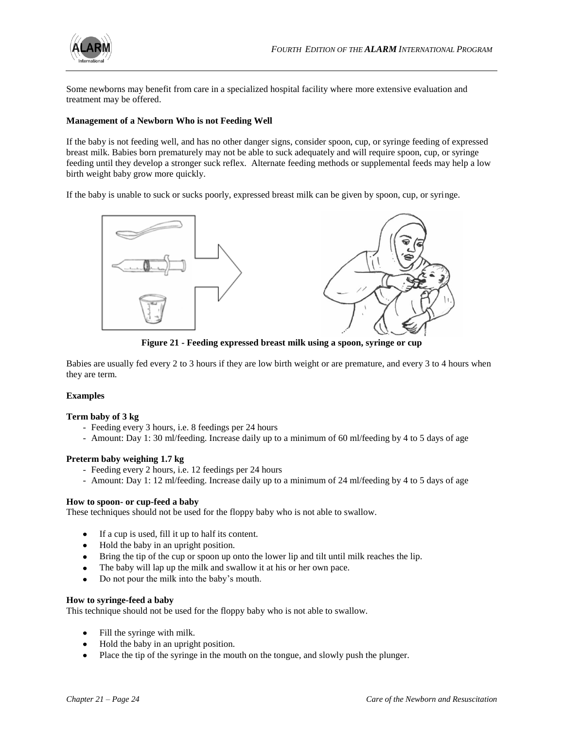![](_page_23_Picture_0.jpeg)

Some newborns may benefit from care in a specialized hospital facility where more extensive evaluation and treatment may be offered.

#### **Management of a Newborn Who is not Feeding Well**

If the baby is not feeding well, and has no other danger signs, consider spoon, cup, or syringe feeding of expressed breast milk. Babies born prematurely may not be able to suck adequately and will require spoon, cup, or syringe feeding until they develop a stronger suck reflex. Alternate feeding methods or supplemental feeds may help a low birth weight baby grow more quickly.

If the baby is unable to suck or sucks poorly, expressed breast milk can be given by spoon, cup, or syringe.

![](_page_23_Figure_6.jpeg)

**Figure 21 - Feeding expressed breast milk using a spoon, syringe or cup**

Babies are usually fed every 2 to 3 hours if they are low birth weight or are premature, and every 3 to 4 hours when they are term.

#### **Examples**

#### **Term baby of 3 kg**

- Feeding every 3 hours, i.e. 8 feedings per 24 hours
- Amount: Day 1: 30 ml/feeding. Increase daily up to a minimum of 60 ml/feeding by 4 to 5 days of age

#### **Preterm baby weighing 1.7 kg**

- Feeding every 2 hours, i.e. 12 feedings per 24 hours
- Amount: Day 1: 12 ml/feeding. Increase daily up to a minimum of 24 ml/feeding by 4 to 5 days of age

#### **How to spoon- or cup-feed a baby**

These techniques should not be used for the floppy baby who is not able to swallow.

- $\bullet$ If a cup is used, fill it up to half its content.
- Hold the baby in an upright position.
- Bring the tip of the cup or spoon up onto the lower lip and tilt until milk reaches the lip.
- The baby will lap up the milk and swallow it at his or her own pace.
- Do not pour the milk into the baby's mouth.

#### **How to syringe-feed a baby**

This technique should not be used for the floppy baby who is not able to swallow.

- Fill the syringe with milk.
- Hold the baby in an upright position.
- Place the tip of the syringe in the mouth on the tongue, and slowly push the plunger. $\bullet$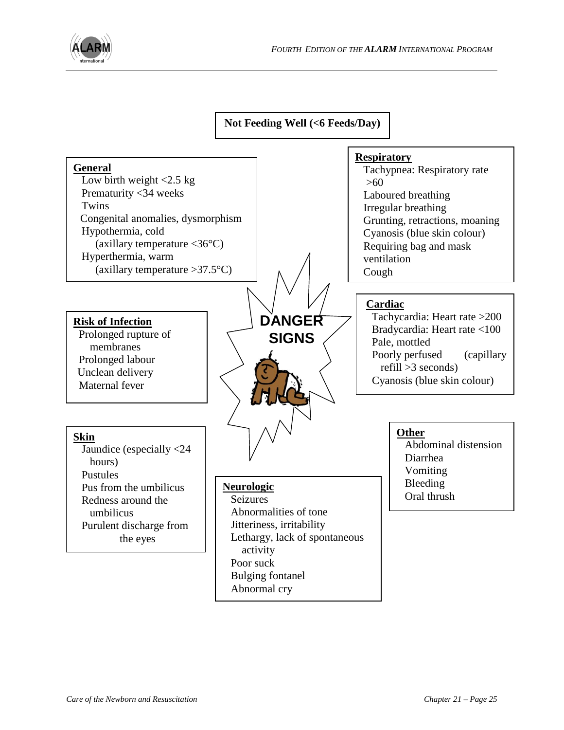![](_page_24_Picture_0.jpeg)

**Not Feeding Well (<6 Feeds/Day)**

![](_page_24_Figure_3.jpeg)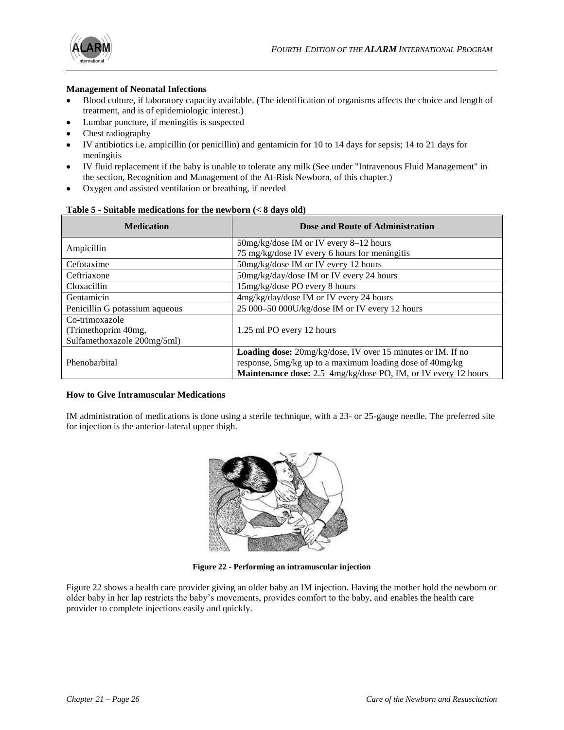![](_page_25_Picture_1.jpeg)

# **Management of Neonatal Infections**

- Blood culture, if laboratory capacity available. (The identification of organisms affects the choice and length of treatment, and is of epidemiologic interest.)
- Lumbar puncture, if meningitis is suspected
- Chest radiography
- IV antibiotics i.e. ampicillin (or penicillin) and gentamicin for 10 to 14 days for sepsis; 14 to 21 days for meningitis
- IV fluid replacement if the baby is unable to tolerate any milk (See under "Intravenous Fluid Management" in  $\bullet$ the section, Recognition and Management of the At-Risk Newborn, of this chapter.)
- Oxygen and assisted ventilation or breathing, if needed

|  |  |  |  | Table 5 - Suitable medications for the newborn $(< 8$ days old) |
|--|--|--|--|-----------------------------------------------------------------|
|--|--|--|--|-----------------------------------------------------------------|

| <b>Medication</b>              | <b>Dose and Route of Administration</b>                            |  |  |
|--------------------------------|--------------------------------------------------------------------|--|--|
| Ampicillin                     | 50mg/kg/dose IM or IV every 8-12 hours                             |  |  |
|                                | 75 mg/kg/dose IV every 6 hours for meningitis                      |  |  |
| Cefotaxime                     | 50mg/kg/dose IM or IV every 12 hours                               |  |  |
| Ceftriaxone                    | 50mg/kg/day/dose IM or IV every 24 hours                           |  |  |
| Cloxacillin                    | 15mg/kg/dose PO every 8 hours                                      |  |  |
| Gentamicin                     | 4mg/kg/day/dose IM or IV every 24 hours                            |  |  |
| Penicillin G potassium aqueous | 25 000-50 000U/kg/dose IM or IV every 12 hours                     |  |  |
| Co-trimoxazole                 |                                                                    |  |  |
| (Trimethoprim 40mg,            | 1.25 ml PO every 12 hours                                          |  |  |
| Sulfamethoxazole 200mg/5ml)    |                                                                    |  |  |
|                                | <b>Loading dose:</b> 20mg/kg/dose, IV over 15 minutes or IM. If no |  |  |
| Phenobarbital                  | response, 5mg/kg up to a maximum loading dose of 40mg/kg           |  |  |
|                                | Maintenance dose: 2.5-4mg/kg/dose PO, IM, or IV every 12 hours     |  |  |

# **How to Give Intramuscular Medications**

IM administration of medications is done using a sterile technique, with a 23- or 25-gauge needle. The preferred site for injection is the anterior-lateral upper thigh.

![](_page_25_Picture_13.jpeg)

**Figure 22 - Performing an intramuscular injection**

Figure 22 shows a health care provider giving an older baby an IM injection. Having the mother hold the newborn or older baby in her lap restricts the baby's movements, provides comfort to the baby, and enables the health care provider to complete injections easily and quickly.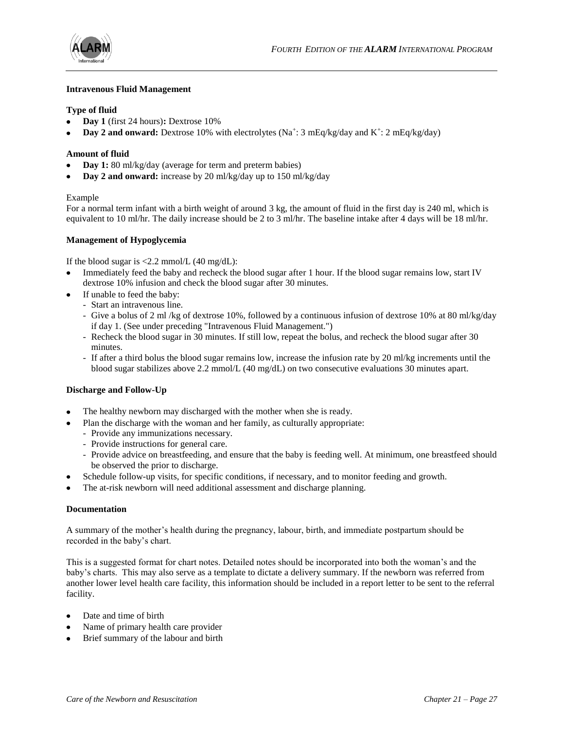![](_page_26_Picture_0.jpeg)

![](_page_26_Picture_1.jpeg)

# **Intravenous Fluid Management**

#### **Type of fluid**

- **Day 1** (first 24 hours)**:** Dextrose 10%
- **Day 2 and onward:** Dextrose 10% with electrolytes (Na<sup>+</sup>: 3 mEq/kg/day and K<sup>+</sup>: 2 mEq/kg/day)

#### **Amount of fluid**

- **Day 1:** 80 ml/kg/day (average for term and preterm babies)
- **Day 2 and onward:** increase by 20 ml/kg/day up to 150 ml/kg/day

#### Example

For a normal term infant with a birth weight of around 3 kg, the amount of fluid in the first day is 240 ml, which is equivalent to 10 ml/hr. The daily increase should be 2 to 3 ml/hr. The baseline intake after 4 days will be 18 ml/hr.

#### **Management of Hypoglycemia**

If the blood sugar is  $\langle 2.2 \text{ mmol/L (40 mg/dL)}$ :

- Immediately feed the baby and recheck the blood sugar after 1 hour. If the blood sugar remains low, start IV dextrose 10% infusion and check the blood sugar after 30 minutes.
- If unable to feed the baby:
	- Start an intravenous line.
	- Give a bolus of 2 ml /kg of dextrose 10%, followed by a continuous infusion of dextrose 10% at 80 ml/kg/day if day 1. (See under preceding "Intravenous Fluid Management.")
	- Recheck the blood sugar in 30 minutes. If still low, repeat the bolus, and recheck the blood sugar after 30 minutes.
	- If after a third bolus the blood sugar remains low, increase the infusion rate by 20 ml/kg increments until the blood sugar stabilizes above 2.2 mmol/L (40 mg/dL) on two consecutive evaluations 30 minutes apart.

# **Discharge and Follow-Up**

- The healthy newborn may discharged with the mother when she is ready.
	- Plan the discharge with the woman and her family, as culturally appropriate:
	- Provide any immunizations necessary.
	- Provide instructions for general care.
	- Provide advice on breastfeeding, and ensure that the baby is feeding well. At minimum, one breastfeed should be observed the prior to discharge.
- Schedule follow-up visits, for specific conditions, if necessary, and to monitor feeding and growth.
- The at-risk newborn will need additional assessment and discharge planning.

# **Documentation**

A summary of the mother's health during the pregnancy, labour, birth, and immediate postpartum should be recorded in the baby's chart.

This is a suggested format for chart notes. Detailed notes should be incorporated into both the woman's and the baby's charts. This may also serve as a template to dictate a delivery summary. If the newborn was referred from another lower level health care facility, this information should be included in a report letter to be sent to the referral facility.

- Date and time of birth
- Name of primary health care provider
- Brief summary of the labour and birth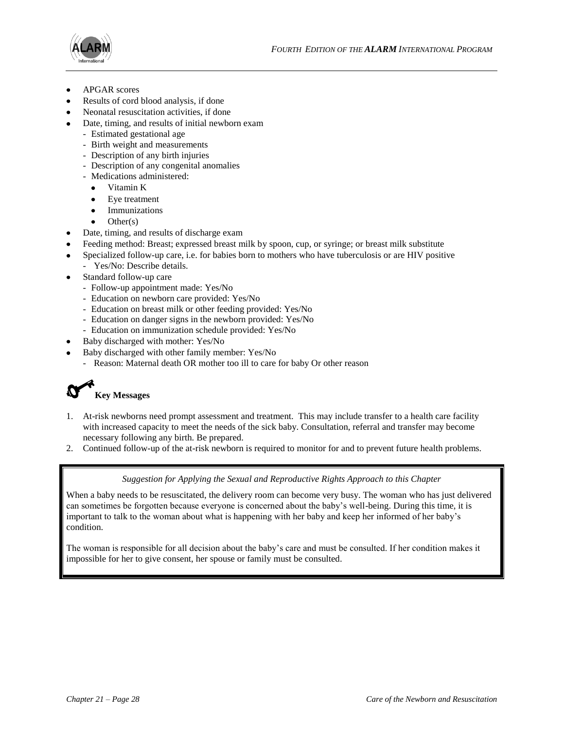![](_page_27_Picture_1.jpeg)

- APGAR scores
- Results of cord blood analysis, if done
- Neonatal resuscitation activities, if done
- Date, timing, and results of initial newborn exam
	- Estimated gestational age
	- Birth weight and measurements
	- Description of any birth injuries
	- Description of any congenital anomalies
	- Medications administered:
		- Vitamin K
		- Eye treatment
		- Immunizations
		- Other(s)
- Date, timing, and results of discharge exam
- Feeding method: Breast; expressed breast milk by spoon, cup, or syringe; or breast milk substitute
- Specialized follow-up care, i.e. for babies born to mothers who have tuberculosis or are HIV positive
- Yes/No: Describe details.
- Standard follow-up care
	- Follow-up appointment made: Yes/No
	- Education on newborn care provided: Yes/No
	- Education on breast milk or other feeding provided: Yes/No
	- Education on danger signs in the newborn provided: Yes/No
	- Education on immunization schedule provided: Yes/No
- Baby discharged with mother: Yes/No
- Baby discharged with other family member: Yes/No
	- Reason: Maternal death OR mother too ill to care for baby Or other reason

# **Key Messages**

- 1. At-risk newborns need prompt assessment and treatment. This may include transfer to a health care facility with increased capacity to meet the needs of the sick baby. Consultation, referral and transfer may become necessary following any birth. Be prepared.
- 2. Continued follow-up of the at-risk newborn is required to monitor for and to prevent future health problems.

# *Suggestion for Applying the Sexual and Reproductive Rights Approach to this Chapter*

When a baby needs to be resuscitated, the delivery room can become very busy. The woman who has just delivered can sometimes be forgotten because everyone is concerned about the baby's well-being. During this time, it is important to talk to the woman about what is happening with her baby and keep her informed of her baby's condition.

The woman is responsible for all decision about the baby's care and must be consulted. If her condition makes it impossible for her to give consent, her spouse or family must be consulted.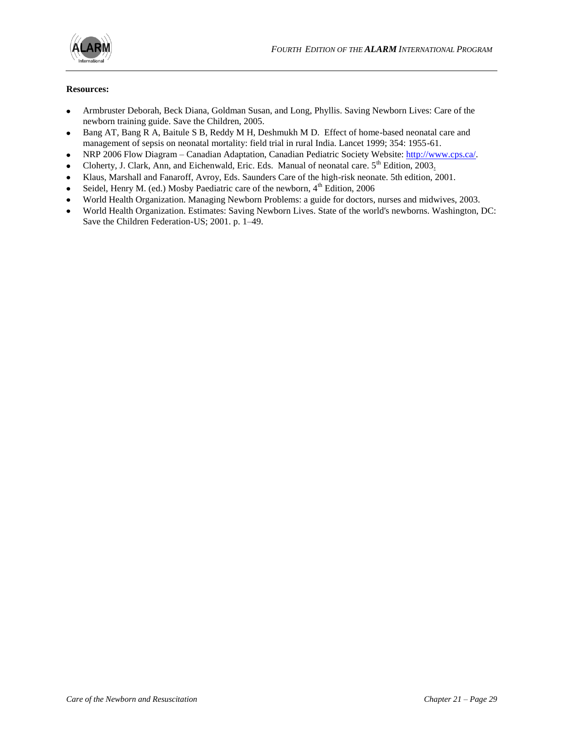![](_page_28_Picture_0.jpeg)

# **Resources:**

- Armbruster Deborah, Beck Diana, Goldman Susan, and Long, Phyllis. Saving Newborn Lives: Care of the newborn training guide. Save the Children, 2005.
- Bang AT, Bang R A, Baitule S B, Reddy M H, Deshmukh M D. Effect of home-based neonatal care and  $\bullet$ management of sepsis on neonatal mortality: field trial in rural India. Lancet 1999; 354: 1955-61.
- NRP 2006 Flow Diagram Canadian Adaptation, Canadian Pediatric Society Website: [http://www.cps.ca/.](http://www.cps.ca/)  $\bullet$
- Cloherty, J. Clark, Ann, and Eichenwald, Eric. Eds. Manual of neonatal care. 5<sup>th</sup> Edition, 2003.  $\bullet$
- Klaus, Marshall and Fanaroff, Avroy, Eds. Saunders Care of the high-risk neonate. 5th edition, 2001.  $\bullet$
- Seidel, Henry M. (ed.) Mosby Paediatric care of the newborn,  $4<sup>th</sup>$  Edition, 2006
- World Health Organization. Managing Newborn Problems: a guide for doctors, nurses and midwives, 2003.  $\bullet$
- World Health Organization. Estimates: Saving Newborn Lives. State of the world's newborns. Washington, DC:  $\bullet$ Save the Children Federation-US; 2001. p. 1–49.